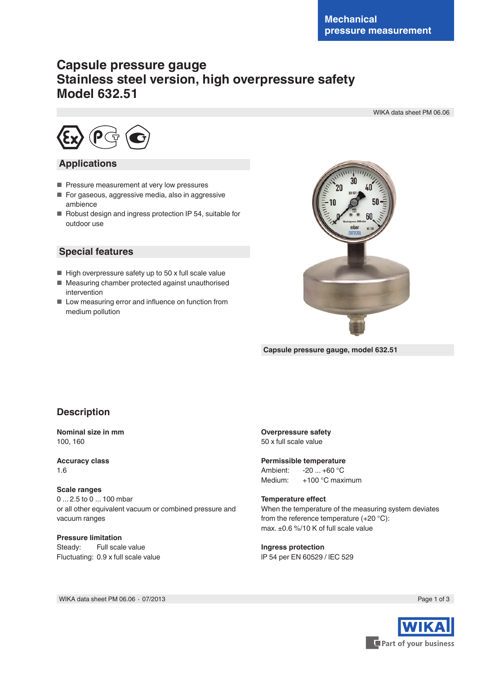# **Capsule pressure gauge Stainless steel version, high overpressure safety Model 632.51**

WIKA data sheet PM 06.06



### **Applications**

- Pressure measurement at very low pressures
- For gaseous, aggressive media, also in aggressive ambience
- Robust design and ingress protection IP 54, suitable for outdoor use

### **Special features**

- High overpressure safety up to 50 x full scale value
- Measuring chamber protected against unauthorised intervention
- Low measuring error and influence on function from medium pollution



**Capsule pressure gauge, model 632.51**

# **Description**

#### **Nominal size in mm** 100, 160

**Accuracy class** 1.6

#### **Scale ranges**

0 ... 2.5 to 0 ... 100 mbar or all other equivalent vacuum or combined pressure and vacuum ranges

**Pressure limitation** Steady: Full scale value Fluctuating: 0.9 x full scale value **Overpressure safety** 50 x full scale value

# **Permissible temperature**<br>Ambient: -20 +60 °C

Ambient:  $-20 ... +60 °C$ <br>Medium:  $+100 °C$  max +100 °C maximum

#### **Temperature effect**

When the temperature of the measuring system deviates from the reference temperature (+20 °C): max. ±0.6 %/10 K of full scale value

#### **Ingress protection**

lP 54 per EN 60529 / lEC 529

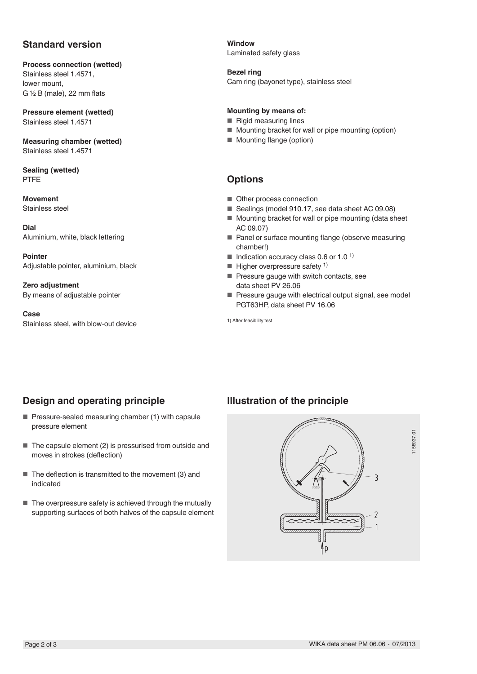# **Standard version**

**Process connection (wetted)** Stainless steel 1.4571, lower mount, G  $\frac{1}{2}$  B (male), 22 mm flats

**Pressure element (wetted)** Stainless steel 1.4571

**Measuring chamber (wetted)** Stainless steel 1.4571

**Sealing (wetted)** PTFE

**Movement** Stainless steel

**Dial** Aluminium, white, black lettering

**Pointer** Adjustable pointer, aluminium, black

**Zero adjustment** By means of adjustable pointer

**Case** Stainless steel, with blow-out device **Window** Laminated safety glass

#### **Bezel ring**

Cam ring (bayonet type), stainless steel

#### **Mounting by means of:**

- Rigid measuring lines
- Mounting bracket for wall or pipe mounting (option)
- Mounting flange (option)

# **Options**

- Other process connection
- Sealings (model 910.17, see data sheet AC 09.08)
- Mounting bracket for wall or pipe mounting (data sheet AC 09.07)
- Panel or surface mounting flange (observe measuring chamber!)
- $\blacksquare$  Indication accuracy class 0.6 or 1.0 <sup>1)</sup>
- $\blacksquare$  Higher overpressure safety <sup>1)</sup>
- Pressure gauge with switch contacts, see data sheet PV 26.06
- Pressure gauge with electrical output signal, see model PGT63HP, data sheet PV 16.06

1) After feasibility test

# **Design and operating principle**

- Pressure-sealed measuring chamber (1) with capsule pressure element
- The capsule element (2) is pressurised from outside and moves in strokes (deflection)
- The deflection is transmitted to the movement (3) and indicated
- The overpressure safety is achieved through the mutually supporting surfaces of both halves of the capsule element

# **Illustration of the principle**